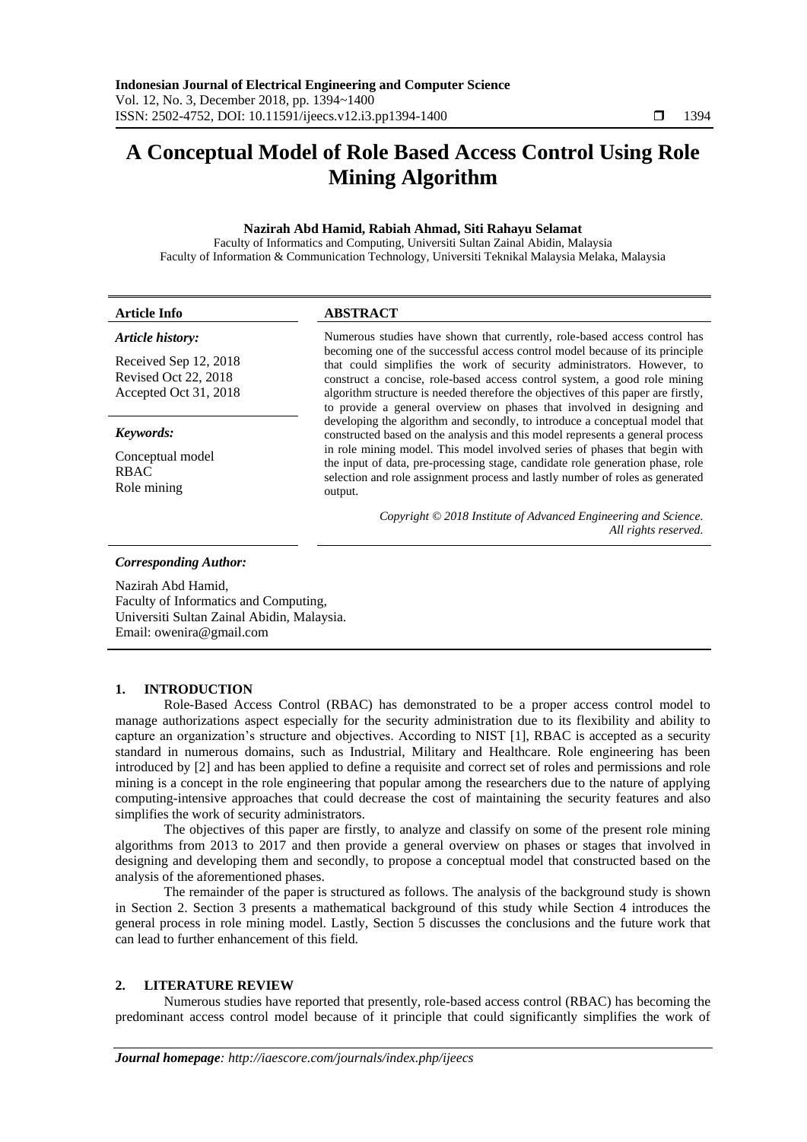# **A Conceptual Model of Role Based Access Control Using Role Mining Algorithm**

# **Nazirah Abd Hamid, Rabiah Ahmad, Siti Rahayu Selamat**

Faculty of Informatics and Computing, Universiti Sultan Zainal Abidin, Malaysia Faculty of Information & Communication Technology, Universiti Teknikal Malaysia Melaka, Malaysia

| <b>Article Info</b>                                                    | <b>ABSTRACT</b>                                                                                                                                                                                                                                                                                                                                                                                                                                                                                                                                                                                                                                 |  |
|------------------------------------------------------------------------|-------------------------------------------------------------------------------------------------------------------------------------------------------------------------------------------------------------------------------------------------------------------------------------------------------------------------------------------------------------------------------------------------------------------------------------------------------------------------------------------------------------------------------------------------------------------------------------------------------------------------------------------------|--|
| Article history:                                                       | Numerous studies have shown that currently, role-based access control has<br>becoming one of the successful access control model because of its principle<br>that could simplifies the work of security administrators. However, to<br>construct a concise, role-based access control system, a good role mining<br>algorithm structure is needed therefore the objectives of this paper are firstly,<br>to provide a general overview on phases that involved in designing and<br>developing the algorithm and secondly, to introduce a conceptual model that<br>constructed based on the analysis and this model represents a general process |  |
| Received Sep 12, 2018<br>Revised Oct 22, 2018<br>Accepted Oct 31, 2018 |                                                                                                                                                                                                                                                                                                                                                                                                                                                                                                                                                                                                                                                 |  |
| Keywords:                                                              |                                                                                                                                                                                                                                                                                                                                                                                                                                                                                                                                                                                                                                                 |  |
| Conceptual model<br><b>RBAC</b><br>Role mining                         | in role mining model. This model involved series of phases that begin with<br>the input of data, pre-processing stage, candidate role generation phase, role<br>selection and role assignment process and lastly number of roles as generated<br>output.                                                                                                                                                                                                                                                                                                                                                                                        |  |
|                                                                        | Copyright © 2018 Institute of Advanced Engineering and Science.<br>All rights reserved.                                                                                                                                                                                                                                                                                                                                                                                                                                                                                                                                                         |  |
| <b>Corresponding Author:</b>                                           |                                                                                                                                                                                                                                                                                                                                                                                                                                                                                                                                                                                                                                                 |  |
| Nazirah Abd Hamid,                                                     |                                                                                                                                                                                                                                                                                                                                                                                                                                                                                                                                                                                                                                                 |  |

Faculty of Informatics and Computing, Universiti Sultan Zainal Abidin, Malaysia. Email: owenira@gmail.com

# **1. INTRODUCTION**

Role-Based Access Control (RBAC) has demonstrated to be a proper access control model to manage authorizations aspect especially for the security administration due to its flexibility and ability to capture an organization's structure and objectives. According to NIST [1], RBAC is accepted as a security standard in numerous domains, such as Industrial, Military and Healthcare. Role engineering has been introduced by [2] and has been applied to define a requisite and correct set of roles and permissions and role mining is a concept in the role engineering that popular among the researchers due to the nature of applying computing-intensive approaches that could decrease the cost of maintaining the security features and also simplifies the work of security administrators.

The objectives of this paper are firstly, to analyze and classify on some of the present role mining algorithms from 2013 to 2017 and then provide a general overview on phases or stages that involved in designing and developing them and secondly, to propose a conceptual model that constructed based on the analysis of the aforementioned phases.

The remainder of the paper is structured as follows. The analysis of the background study is shown in Section 2. Section 3 presents a mathematical background of this study while Section 4 introduces the general process in role mining model. Lastly, Section 5 discusses the conclusions and the future work that can lead to further enhancement of this field.

# **2. LITERATURE REVIEW**

Numerous studies have reported that presently, role-based access control (RBAC) has becoming the predominant access control model because of it principle that could significantly simplifies the work of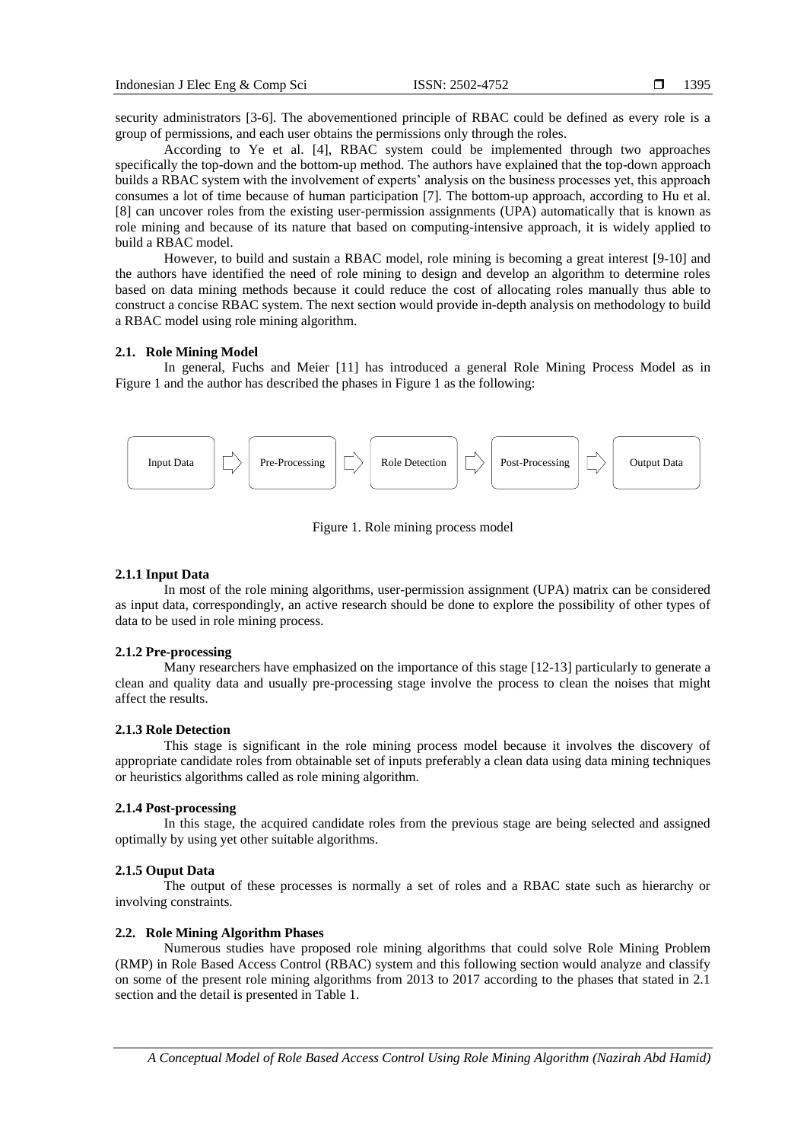security administrators [3-6]. The abovementioned principle of RBAC could be defined as every role is a group of permissions, and each user obtains the permissions only through the roles.

According to Ye et al. [4], RBAC system could be implemented through two approaches specifically the top-down and the bottom-up method. The authors have explained that the top-down approach builds a RBAC system with the involvement of experts' analysis on the business processes yet, this approach consumes a lot of time because of human participation [7]. The bottom-up approach, according to Hu et al. [8] can uncover roles from the existing user-permission assignments (UPA) automatically that is known as role mining and because of its nature that based on computing-intensive approach, it is widely applied to build a RBAC model.

However, to build and sustain a RBAC model, role mining is becoming a great interest [9-10] and the authors have identified the need of role mining to design and develop an algorithm to determine roles based on data mining methods because it could reduce the cost of allocating roles manually thus able to construct a concise RBAC system. The next section would provide in-depth analysis on methodology to build a RBAC model using role mining algorithm.

## **2.1. Role Mining Model**

In general, Fuchs and Meier [11] has introduced a general Role Mining Process Model as in Figure 1 and the author has described the phases in Figure 1 as the following:



Figure 1. Role mining process model

#### **2.1.1 Input Data**

In most of the role mining algorithms, user-permission assignment (UPA) matrix can be considered as input data, correspondingly, an active research should be done to explore the possibility of other types of data to be used in role mining process.

#### **2.1.2 Pre-processing**

Many researchers have emphasized on the importance of this stage [12-13] particularly to generate a clean and quality data and usually pre-processing stage involve the process to clean the noises that might affect the results.

#### **2.1.3 Role Detection**

This stage is significant in the role mining process model because it involves the discovery of appropriate candidate roles from obtainable set of inputs preferably a clean data using data mining techniques or heuristics algorithms called as role mining algorithm.

# **2.1.4 Post-processing**

In this stage, the acquired candidate roles from the previous stage are being selected and assigned optimally by using yet other suitable algorithms.

# **2.1.5 Ouput Data**

The output of these processes is normally a set of roles and a RBAC state such as hierarchy or involving constraints.

# **2.2. Role Mining Algorithm Phases**

Numerous studies have proposed role mining algorithms that could solve Role Mining Problem (RMP) in Role Based Access Control (RBAC) system and this following section would analyze and classify on some of the present role mining algorithms from 2013 to 2017 according to the phases that stated in 2.1 section and the detail is presented in Table 1.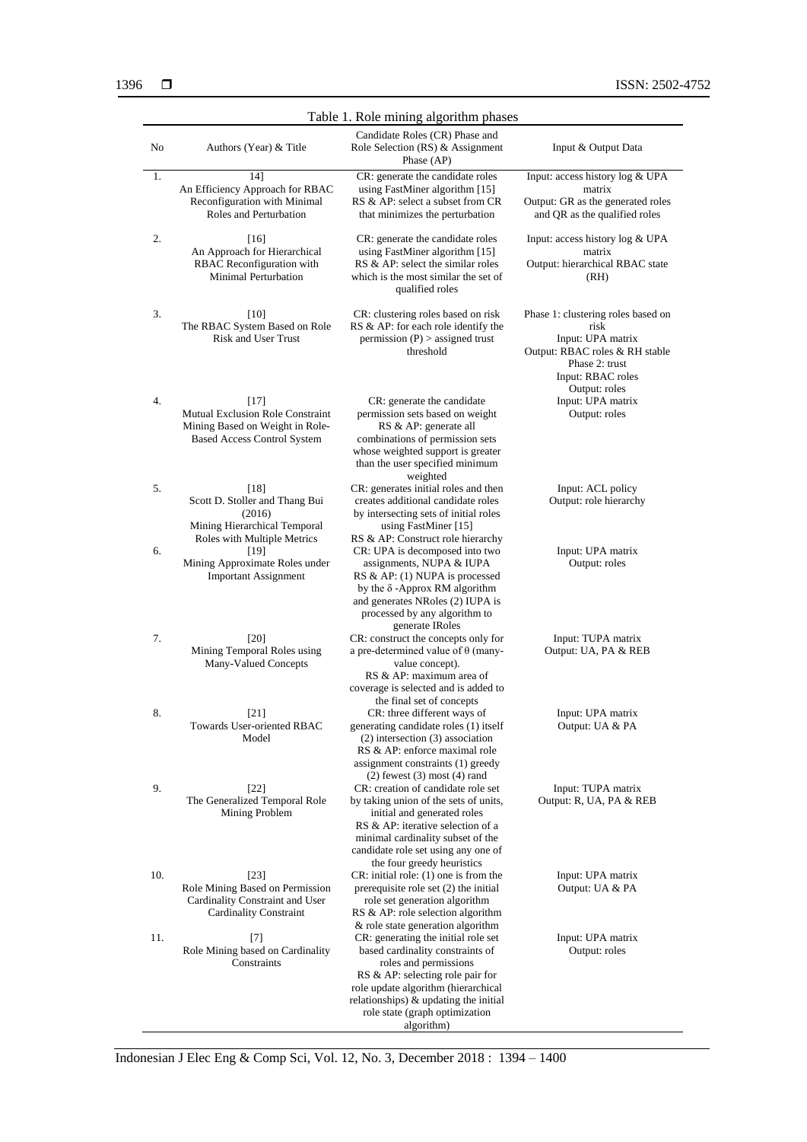| Table 1. Role mining algorithm phases |                                                                                                                            |                                                                                                                                                                                                                                                                         |                                                                                                                                                           |  |
|---------------------------------------|----------------------------------------------------------------------------------------------------------------------------|-------------------------------------------------------------------------------------------------------------------------------------------------------------------------------------------------------------------------------------------------------------------------|-----------------------------------------------------------------------------------------------------------------------------------------------------------|--|
| N <sub>0</sub>                        | Authors (Year) & Title                                                                                                     | Candidate Roles (CR) Phase and<br>Role Selection (RS) & Assignment<br>Phase $AP$ )                                                                                                                                                                                      | Input & Output Data                                                                                                                                       |  |
| 1.                                    | 14]<br>An Efficiency Approach for RBAC<br>Reconfiguration with Minimal<br>Roles and Perturbation                           | CR: generate the candidate roles<br>using FastMiner algorithm [15]<br>RS & AP: select a subset from CR<br>that minimizes the perturbation                                                                                                                               | Input: access history log & UPA<br>matrix<br>Output: GR as the generated roles<br>and QR as the qualified roles                                           |  |
| 2.                                    | [16]<br>An Approach for Hierarchical<br>RBAC Reconfiguration with<br><b>Minimal Perturbation</b>                           | CR: generate the candidate roles<br>using FastMiner algorithm [15]<br>RS & AP: select the similar roles<br>which is the most similar the set of<br>qualified roles                                                                                                      | Input: access history log & UPA<br>matrix<br>Output: hierarchical RBAC state<br>(RH)                                                                      |  |
| 3.                                    | [10]<br>The RBAC System Based on Role<br><b>Risk and User Trust</b>                                                        | CR: clustering roles based on risk<br>RS & AP: for each role identify the<br>permission $(P)$ > assigned trust<br>threshold                                                                                                                                             | Phase 1: clustering roles based on<br>risk<br>Input: UPA matrix<br>Output: RBAC roles & RH stable<br>Phase 2: trust<br>Input: RBAC roles<br>Output: roles |  |
| 4.                                    | $[17]$<br><b>Mutual Exclusion Role Constraint</b><br>Mining Based on Weight in Role-<br><b>Based Access Control System</b> | CR: generate the candidate<br>permission sets based on weight<br>RS & AP: generate all<br>combinations of permission sets<br>whose weighted support is greater<br>than the user specified minimum<br>weighted                                                           | Input: UPA matrix<br>Output: roles                                                                                                                        |  |
| 5.                                    | $[18]$<br>Scott D. Stoller and Thang Bui<br>(2016)<br>Mining Hierarchical Temporal<br>Roles with Multiple Metrics          | CR: generates initial roles and then<br>creates additional candidate roles<br>by intersecting sets of initial roles<br>using FastMiner [15]<br>RS & AP: Construct role hierarchy                                                                                        | Input: ACL policy<br>Output: role hierarchy                                                                                                               |  |
| 6.                                    | [19]<br>Mining Approximate Roles under<br><b>Important Assignment</b>                                                      | CR: UPA is decomposed into two<br>assignments, NUPA & IUPA<br>RS & AP: (1) NUPA is processed<br>by the $\delta$ -Approx RM algorithm<br>and generates NRoles (2) IUPA is<br>processed by any algorithm to<br>generate IRoles                                            | Input: UPA matrix<br>Output: roles                                                                                                                        |  |
| 7.                                    | [20]<br>Mining Temporal Roles using<br>Many-Valued Concepts                                                                | CR: construct the concepts only for<br>a pre-determined value of $\theta$ (many-<br>value concept).<br>RS & AP: maximum area of<br>coverage is selected and is added to<br>the final set of concepts                                                                    | Input: TUPA matrix<br>Output: UA, PA & REB                                                                                                                |  |
| 8.                                    | $[21]$<br>Towards User-oriented RBAC<br>Model                                                                              | CR: three different ways of<br>generating candidate roles (1) itself<br>$(2)$ intersection $(3)$ association<br>RS & AP: enforce maximal role<br>assignment constraints (1) greedy<br>$(2)$ fewest $(3)$ most $(4)$ rand                                                | Input: UPA matrix<br>Output: UA & PA                                                                                                                      |  |
| 9.                                    | $[22]$<br>The Generalized Temporal Role<br>Mining Problem                                                                  | CR: creation of candidate role set<br>by taking union of the sets of units,<br>initial and generated roles<br>RS & AP: iterative selection of a<br>minimal cardinality subset of the<br>candidate role set using any one of<br>the four greedy heuristics               | Input: TUPA matrix<br>Output: R, UA, PA & REB                                                                                                             |  |
| 10.                                   | $[23]$<br>Role Mining Based on Permission<br>Cardinality Constraint and User<br><b>Cardinality Constraint</b>              | $CR:$ initial role: $(1)$ one is from the<br>prerequisite role set (2) the initial<br>role set generation algorithm<br>RS & AP: role selection algorithm<br>& role state generation algorithm                                                                           | Input: UPA matrix<br>Output: UA & PA                                                                                                                      |  |
| 11.                                   | $[7]$<br>Role Mining based on Cardinality<br>Constraints                                                                   | CR: generating the initial role set<br>based cardinality constraints of<br>roles and permissions<br>RS & AP: selecting role pair for<br>role update algorithm (hierarchical<br>relationships) $\&$ updating the initial<br>role state (graph optimization<br>algorithm) | Input: UPA matrix<br>Output: roles                                                                                                                        |  |

Indonesian J Elec Eng & Comp Sci, Vol. 12, No. 3, December 2018 : 1394 – 1400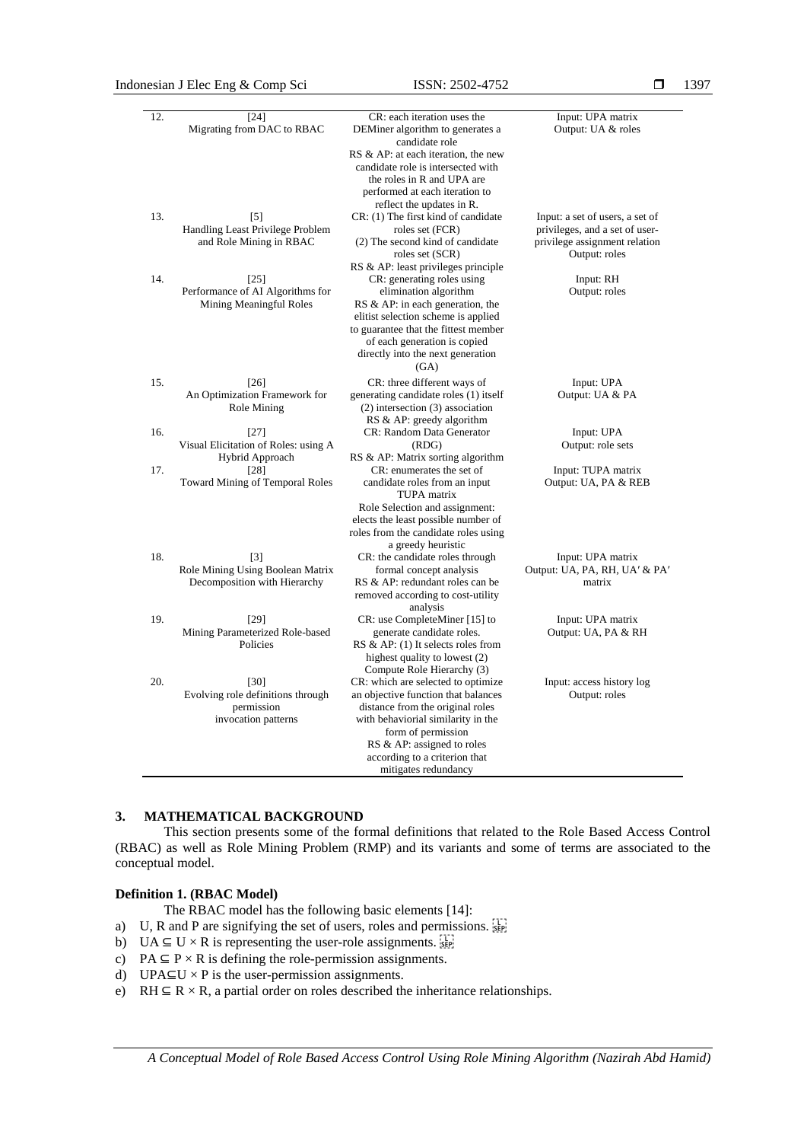# Indonesian J Elec Eng & Comp Sci ISSN: 2502-4752

| 12. | $[24]$                                      | $\overline{\text{CR}}$ : each iteration uses the                                                        | Input: UPA matrix                                  |
|-----|---------------------------------------------|---------------------------------------------------------------------------------------------------------|----------------------------------------------------|
|     | Migrating from DAC to RBAC                  | DEMiner algorithm to generates a<br>candidate role                                                      | Output: UA & roles                                 |
|     |                                             | RS & AP: at each iteration, the new<br>candidate role is intersected with<br>the roles in R and UPA are |                                                    |
|     |                                             | performed at each iteration to<br>reflect the updates in R.                                             |                                                    |
| 13. | $[5]$                                       | CR: (1) The first kind of candidate                                                                     | Input: a set of users, a set of                    |
|     | Handling Least Privilege Problem            | roles set (FCR)                                                                                         | privileges, and a set of user-                     |
|     | and Role Mining in RBAC                     | (2) The second kind of candidate<br>roles set (SCR)                                                     | privilege assignment relation<br>Output: roles     |
|     |                                             | RS & AP: least privileges principle                                                                     |                                                    |
| 14. | [25]<br>Performance of AI Algorithms for    | CR: generating roles using                                                                              | Input: RH                                          |
|     | Mining Meaningful Roles                     | elimination algorithm<br>RS & AP: in each generation, the                                               | Output: roles                                      |
|     |                                             | elitist selection scheme is applied<br>to guarantee that the fittest member                             |                                                    |
|     |                                             | of each generation is copied                                                                            |                                                    |
|     |                                             | directly into the next generation<br>(GA)                                                               |                                                    |
| 15. | [26]                                        | CR: three different ways of                                                                             | Input: UPA                                         |
|     | An Optimization Framework for               | generating candidate roles (1) itself                                                                   | Output: UA & PA                                    |
|     | Role Mining                                 | $(2)$ intersection $(3)$ association<br>RS & AP: greedy algorithm                                       |                                                    |
| 16. | $[27]$                                      | CR: Random Data Generator                                                                               | Input: UPA                                         |
|     | Visual Elicitation of Roles: using A        | (RDG)                                                                                                   | Output: role sets                                  |
|     | Hybrid Approach                             | RS & AP: Matrix sorting algorithm                                                                       |                                                    |
| 17. | $[28]$                                      | CR: enumerates the set of                                                                               | Input: TUPA matrix                                 |
|     | Toward Mining of Temporal Roles             | candidate roles from an input<br>TUPA matrix                                                            | Output: UA, PA & REB                               |
|     |                                             | Role Selection and assignment:                                                                          |                                                    |
|     |                                             | elects the least possible number of                                                                     |                                                    |
|     |                                             | roles from the candidate roles using                                                                    |                                                    |
|     |                                             | a greedy heuristic                                                                                      |                                                    |
| 18. | $[3]$<br>Role Mining Using Boolean Matrix   | CR: the candidate roles through<br>formal concept analysis                                              | Input: UPA matrix<br>Output: UA, PA, RH, UA' & PA' |
|     | Decomposition with Hierarchy                | RS & AP: redundant roles can be                                                                         | matrix                                             |
|     |                                             | removed according to cost-utility                                                                       |                                                    |
|     |                                             | analysis                                                                                                |                                                    |
| 19. | $[29]$                                      | CR: use CompleteMiner [15] to                                                                           | Input: UPA matrix                                  |
|     | Mining Parameterized Role-based<br>Policies | generate candidate roles.<br>RS & AP: (1) It selects roles from                                         | Output: UA, PA & RH                                |
|     |                                             | highest quality to lowest (2)                                                                           |                                                    |
|     |                                             | Compute Role Hierarchy (3)                                                                              |                                                    |
| 20. | [30]                                        | CR: which are selected to optimize                                                                      | Input: access history log                          |
|     | Evolving role definitions through           | an objective function that balances                                                                     | Output: roles                                      |
|     | permission<br>invocation patterns           | distance from the original roles<br>with behaviorial similarity in the                                  |                                                    |
|     |                                             | form of permission                                                                                      |                                                    |
|     |                                             | RS & AP: assigned to roles                                                                              |                                                    |
|     |                                             | according to a criterion that                                                                           |                                                    |
|     |                                             | mitigates redundancy                                                                                    |                                                    |

# **3. MATHEMATICAL BACKGROUND**

This section presents some of the formal definitions that related to the Role Based Access Control (RBAC) as well as Role Mining Problem (RMP) and its variants and some of terms are associated to the conceptual model.

#### **Definition 1. (RBAC Model)**

The RBAC model has the following basic elements [14]:

- a) U, R and P are signifying the set of users, roles and permissions.
- b) UA  $\subseteq$  U  $\times$  R is representing the user-role assignments.
- c) PA  $\subseteq$  P  $\times$  R is defining the role-permission assignments.
- d) UPA⊆U  $\times$  P is the user-permission assignments.
- e) RH  $\subseteq$  R  $\times$  R, a partial order on roles described the inheritance relationships.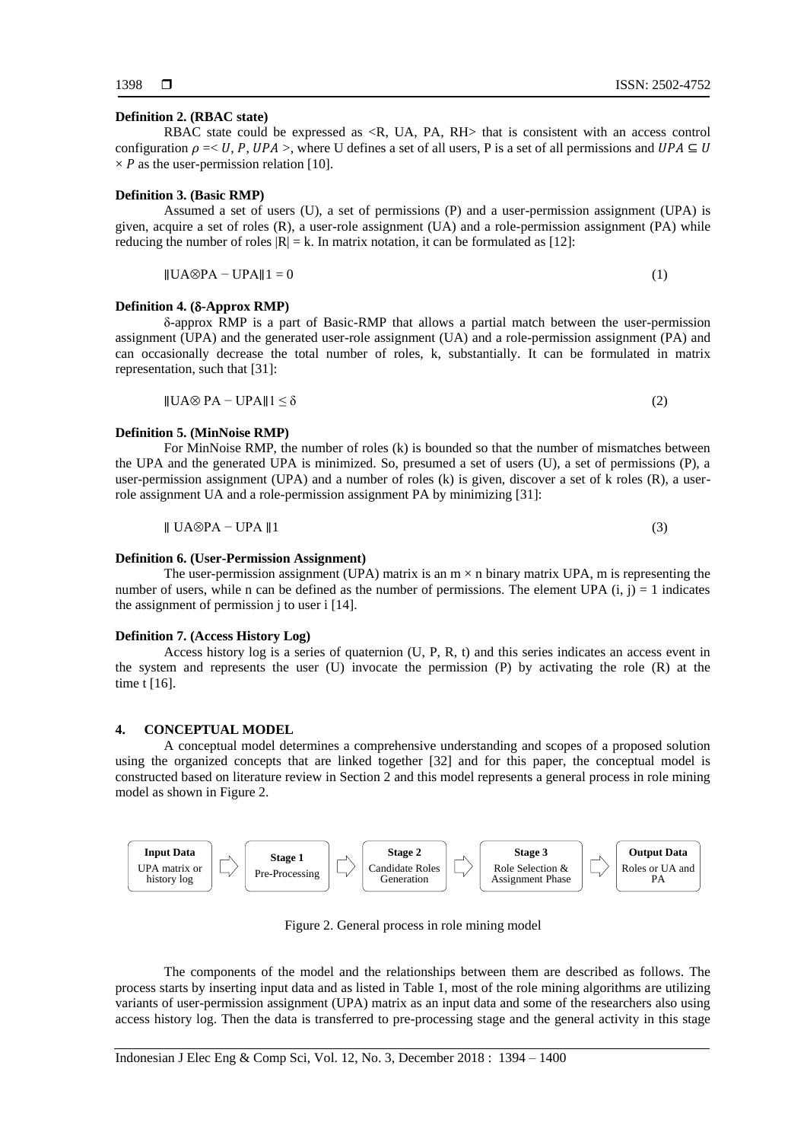# **Definition 2. (RBAC state)**

RBAC state could be expressed as  $\langle R, UA, PA, RH \rangle$  that is consistent with an access control configuration  $\rho = < U$ , P, UPA >, where U defines a set of all users, P is a set of all permissions and  $UPA \subseteq U$  $\times$  *P* as the user-permission relation [10].

## **Definition 3. (Basic RMP)**

Assumed a set of users (U), a set of permissions (P) and a user-permission assignment (UPA) is given, acquire a set of roles (R), a user-role assignment (UA) and a role-permission assignment (PA) while reducing the number of roles  $|R| = k$ . In matrix notation, it can be formulated as [12]:

$$
\|\mathbf{U}\mathbf{A}\otimes\mathbf{P}\mathbf{A} - \mathbf{U}\mathbf{P}\mathbf{A}\|\mathbf{1} = \mathbf{0} \tag{1}
$$

#### **Definition 4. (-Approx RMP)**

δ-approx RMP is a part of Basic-RMP that allows a partial match between the user-permission assignment (UPA) and the generated user-role assignment (UA) and a role-permission assignment (PA) and can occasionally decrease the total number of roles, k, substantially. It can be formulated in matrix representation, such that [31]:

$$
\|\text{UA} \otimes \text{PA} - \text{UPA}\|\| \le \delta \tag{2}
$$

#### **Definition 5. (MinNoise RMP)**

For MinNoise RMP, the number of roles (k) is bounded so that the number of mismatches between the UPA and the generated UPA is minimized. So, presumed a set of users (U), a set of permissions (P), a user-permission assignment (UPA) and a number of roles (k) is given, discover a set of k roles (R), a userrole assignment UA and a role-permission assignment PA by minimizing [31]:

$$
\parallel U A \otimes P A - U P A \parallel 1 \tag{3}
$$

# **Definition 6. (User-Permission Assignment)**

The user-permission assignment (UPA) matrix is an  $m \times n$  binary matrix UPA, m is representing the number of users, while n can be defined as the number of permissions. The element UPA  $(i, j) = 1$  indicates the assignment of permission i to user i [14].

#### **Definition 7. (Access History Log)**

Access history log is a series of quaternion (U, P, R, t) and this series indicates an access event in the system and represents the user (U) invocate the permission (P) by activating the role (R) at the time t [16].

#### **4. CONCEPTUAL MODEL**

A conceptual model determines a comprehensive understanding and scopes of a proposed solution using the organized concepts that are linked together [32] and for this paper, the conceptual model is constructed based on literature review in Section 2 and this model represents a general process in role mining model as shown in Figure 2.



Figure 2. General process in role mining model

The components of the model and the relationships between them are described as follows. The process starts by inserting input data and as listed in Table 1, most of the role mining algorithms are utilizing variants of user-permission assignment (UPA) matrix as an input data and some of the researchers also using access history log. Then the data is transferred to pre-processing stage and the general activity in this stage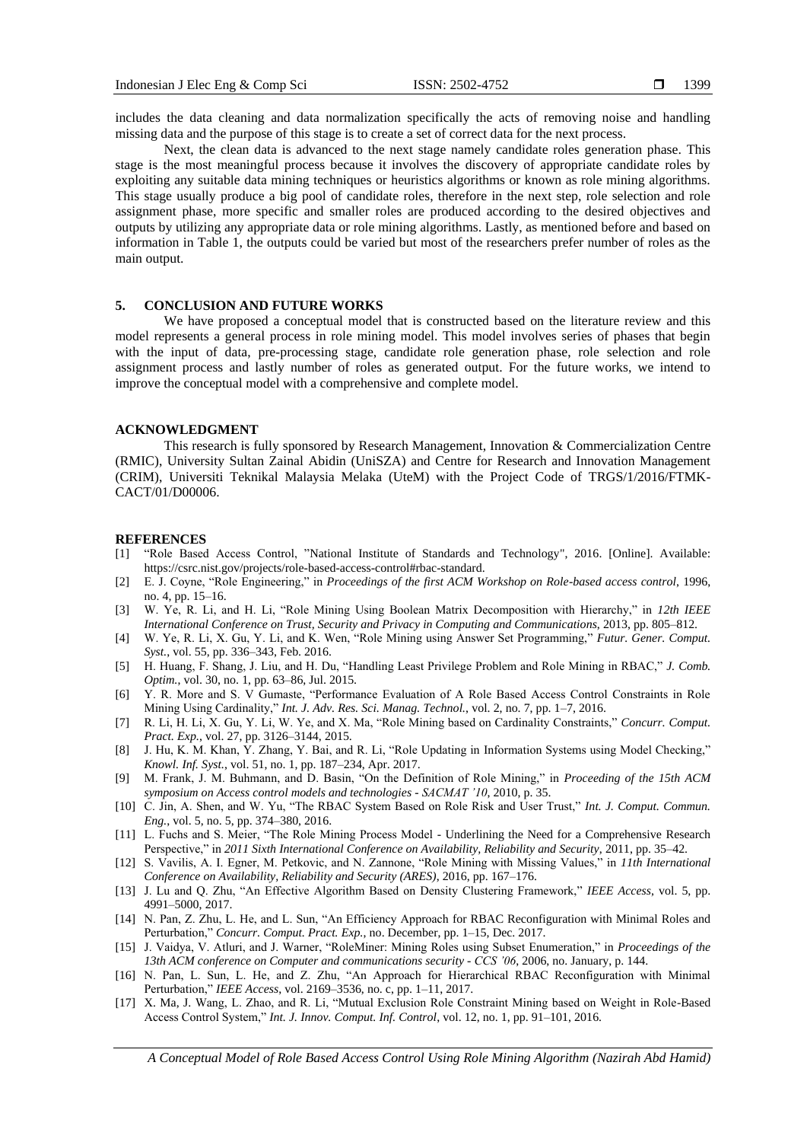includes the data cleaning and data normalization specifically the acts of removing noise and handling missing data and the purpose of this stage is to create a set of correct data for the next process.

Next, the clean data is advanced to the next stage namely candidate roles generation phase. This stage is the most meaningful process because it involves the discovery of appropriate candidate roles by exploiting any suitable data mining techniques or heuristics algorithms or known as role mining algorithms. This stage usually produce a big pool of candidate roles, therefore in the next step, role selection and role assignment phase, more specific and smaller roles are produced according to the desired objectives and outputs by utilizing any appropriate data or role mining algorithms. Lastly, as mentioned before and based on information in Table 1, the outputs could be varied but most of the researchers prefer number of roles as the main output.

# **5. CONCLUSION AND FUTURE WORKS**

We have proposed a conceptual model that is constructed based on the literature review and this model represents a general process in role mining model. This model involves series of phases that begin with the input of data, pre-processing stage, candidate role generation phase, role selection and role assignment process and lastly number of roles as generated output. For the future works, we intend to improve the conceptual model with a comprehensive and complete model.

#### **ACKNOWLEDGMENT**

This research is fully sponsored by Research Management, Innovation & Commercialization Centre (RMIC), University Sultan Zainal Abidin (UniSZA) and Centre for Research and Innovation Management (CRIM), Universiti Teknikal Malaysia Melaka (UteM) with the Project Code of TRGS/1/2016/FTMK-CACT/01/D00006.

#### **REFERENCES**

- [1] "Role Based Access Control, "National Institute of Standards and Technology", 2016. [Online]. Available: https://csrc.nist.gov/projects/role-based-access-control#rbac-standard.
- [2] E. J. Coyne, "Role Engineering," in *Proceedings of the first ACM Workshop on Role-based access control*, 1996, no. 4, pp. 15–16.
- [3] W. Ye, R. Li, and H. Li, "Role Mining Using Boolean Matrix Decomposition with Hierarchy," in *12th IEEE International Conference on Trust, Security and Privacy in Computing and Communications*, 2013, pp. 805–812.
- [4] W. Ye, R. Li, X. Gu, Y. Li, and K. Wen, "Role Mining using Answer Set Programming," *Futur. Gener. Comput. Syst.*, vol. 55, pp. 336–343, Feb. 2016.
- [5] H. Huang, F. Shang, J. Liu, and H. Du, "Handling Least Privilege Problem and Role Mining in RBAC," *J. Comb. Optim.*, vol. 30, no. 1, pp. 63–86, Jul. 2015.
- [6] Y. R. More and S. V Gumaste, "Performance Evaluation of A Role Based Access Control Constraints in Role Mining Using Cardinality," *Int. J. Adv. Res. Sci. Manag. Technol.*, vol. 2, no. 7, pp. 1–7, 2016.
- [7] R. Li, H. Li, X. Gu, Y. Li, W. Ye, and X. Ma, "Role Mining based on Cardinality Constraints," *Concurr. Comput. Pract. Exp.*, vol. 27, pp. 3126–3144, 2015.
- [8] J. Hu, K. M. Khan, Y. Zhang, Y. Bai, and R. Li, "Role Updating in Information Systems using Model Checking," *Knowl. Inf. Syst.*, vol. 51, no. 1, pp. 187–234, Apr. 2017.
- [9] M. Frank, J. M. Buhmann, and D. Basin, "On the Definition of Role Mining," in *Proceeding of the 15th ACM symposium on Access control models and technologies - SACMAT '10*, 2010, p. 35.
- [10] C. Jin, A. Shen, and W. Yu, "The RBAC System Based on Role Risk and User Trust," *Int. J. Comput. Commun. Eng.*, vol. 5, no. 5, pp. 374–380, 2016.
- [11] L. Fuchs and S. Meier, "The Role Mining Process Model Underlining the Need for a Comprehensive Research Perspective," in *2011 Sixth International Conference on Availability, Reliability and Security*, 2011, pp. 35–42.
- [12] S. Vavilis, A. I. Egner, M. Petkovic, and N. Zannone, "Role Mining with Missing Values," in *11th International Conference on Availability, Reliability and Security (ARES)*, 2016, pp. 167–176.
- [13] J. Lu and Q. Zhu, "An Effective Algorithm Based on Density Clustering Framework," *IEEE Access*, vol. 5, pp. 4991–5000, 2017.
- [14] N. Pan, Z. Zhu, L. He, and L. Sun, "An Efficiency Approach for RBAC Reconfiguration with Minimal Roles and Perturbation," *Concurr. Comput. Pract. Exp.*, no. December, pp. 1–15, Dec. 2017.
- [15] J. Vaidya, V. Atluri, and J. Warner, "RoleMiner: Mining Roles using Subset Enumeration," in *Proceedings of the 13th ACM conference on Computer and communications security - CCS '06*, 2006, no. January, p. 144.
- [16] N. Pan, L. Sun, L. He, and Z. Zhu, "An Approach for Hierarchical RBAC Reconfiguration with Minimal Perturbation," *IEEE Access*, vol. 2169–3536, no. c, pp. 1–11, 2017.
- [17] X. Ma, J. Wang, L. Zhao, and R. Li, "Mutual Exclusion Role Constraint Mining based on Weight in Role-Based Access Control System," *Int. J. Innov. Comput. Inf. Control*, vol. 12, no. 1, pp. 91–101, 2016.